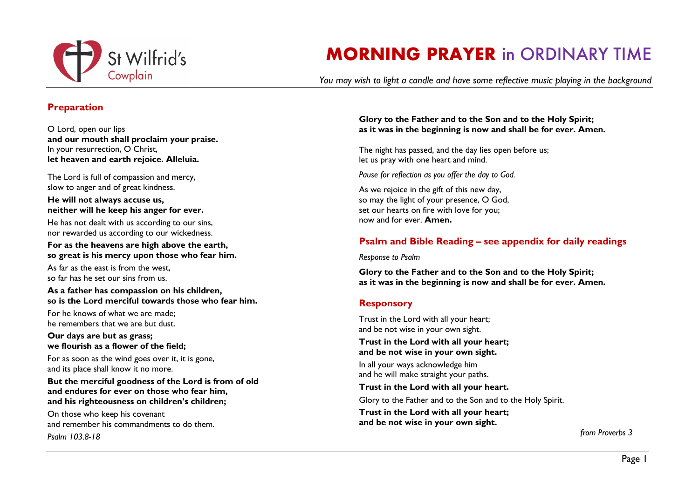

# **MORNING PRAYER** in ORDINARY TIME

*You may wish to light a candle and have some reflective music playing in the background*

## **Preparation**

O Lord, open our lips **and our mouth shall proclaim your praise.** In your resurrection, O Christ, **let heaven and earth rejoice. Alleluia.**

The Lord is full of compassion and mercy, slow to anger and of great kindness.

#### **He will not always accuse us, neither will he keep his anger for ever.**

He has not dealt with us according to our sins, nor rewarded us according to our wickedness.

**For as the heavens are high above the earth, so great is his mercy upon those who fear him.**

As far as the east is from the west, so far has he set our sins from us.

#### **As a father has compassion on his children, so is the Lord merciful towards those who fear him.**

For he knows of what we are made; he remembers that we are but dust.

#### **Our days are but as grass; we flourish as a flower of the field;**

For as soon as the wind goes over it, it is gone, and its place shall know it no more.

**But the merciful goodness of the Lord is from of old and endures for ever on those who fear him, and his righteousness on children's children;**

On those who keep his covenant and remember his commandments to do them. *Psalm 103.8-18*

### **Glory to the Father and to the Son and to the Holy Spirit; as it was in the beginning is now and shall be for ever. Amen.**

The night has passed, and the day lies open before us; let us pray with one heart and mind.

*Pause for reflection as you offer the day to God.* 

As we rejoice in the gift of this new day, so may the light of your presence, O God, set our hearts on fire with love for you; now and for ever. **Amen.**

# **Psalm and Bible Reading – see appendix for daily readings**

*Response to Psalm*

**Glory to the Father and to the Son and to the Holy Spirit; as it was in the beginning is now and shall be for ever. Amen.** 

# **Responsory**

Trust in the Lord with all your heart; and be not wise in your own sight. **Trust in the Lord with all your heart; and be not wise in your own sight.** In all your ways acknowledge him and he will make straight your paths. **Trust in the Lord with all your heart.** Glory to the Father and to the Son and to the Holy Spirit. **Trust in the Lord with all your heart; and be not wise in your own sight.**

 *from Proverbs 3*